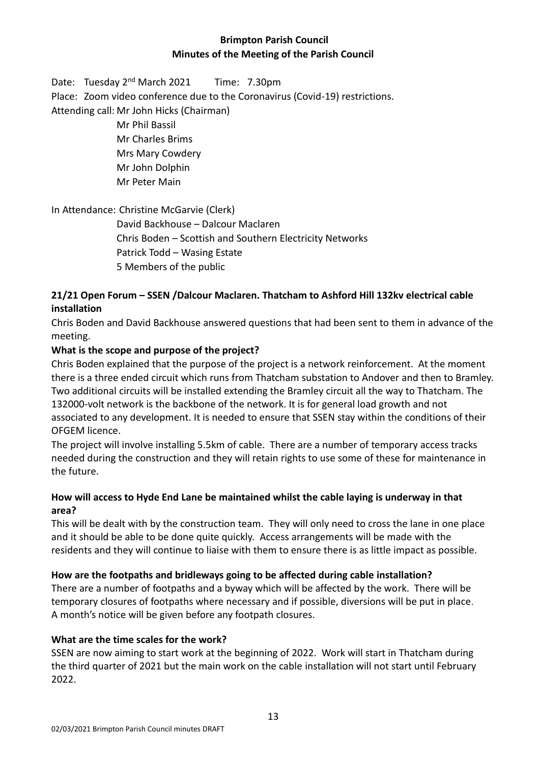# **Brimpton Parish Council Minutes of the Meeting of the Parish Council**

Date: Tuesday 2<sup>nd</sup> March 2021 Time: 7.30pm Place: Zoom video conference due to the Coronavirus (Covid-19) restrictions. Attending call: Mr John Hicks (Chairman)

> Mr Phil Bassil Mr Charles Brims Mrs Mary Cowdery Mr John Dolphin Mr Peter Main

## In Attendance: Christine McGarvie (Clerk)

David Backhouse – Dalcour Maclaren Chris Boden – Scottish and Southern Electricity Networks Patrick Todd – Wasing Estate 5 Members of the public

# **21/21 Open Forum – SSEN /Dalcour Maclaren. Thatcham to Ashford Hill 132kv electrical cable installation**

Chris Boden and David Backhouse answered questions that had been sent to them in advance of the meeting.

# **What is the scope and purpose of the project?**

Chris Boden explained that the purpose of the project is a network reinforcement. At the moment there is a three ended circuit which runs from Thatcham substation to Andover and then to Bramley. Two additional circuits will be installed extending the Bramley circuit all the way to Thatcham. The 132000-volt network is the backbone of the network. It is for general load growth and not associated to any development. It is needed to ensure that SSEN stay within the conditions of their OFGEM licence.

The project will involve installing 5.5km of cable. There are a number of temporary access tracks needed during the construction and they will retain rights to use some of these for maintenance in the future.

## **How will access to Hyde End Lane be maintained whilst the cable laying is underway in that area?**

This will be dealt with by the construction team. They will only need to cross the lane in one place and it should be able to be done quite quickly. Access arrangements will be made with the residents and they will continue to liaise with them to ensure there is as little impact as possible.

# **How are the footpaths and bridleways going to be affected during cable installation?**

There are a number of footpaths and a byway which will be affected by the work. There will be temporary closures of footpaths where necessary and if possible, diversions will be put in place. A month's notice will be given before any footpath closures.

# **What are the time scales for the work?**

SSEN are now aiming to start work at the beginning of 2022. Work will start in Thatcham during the third quarter of 2021 but the main work on the cable installation will not start until February 2022.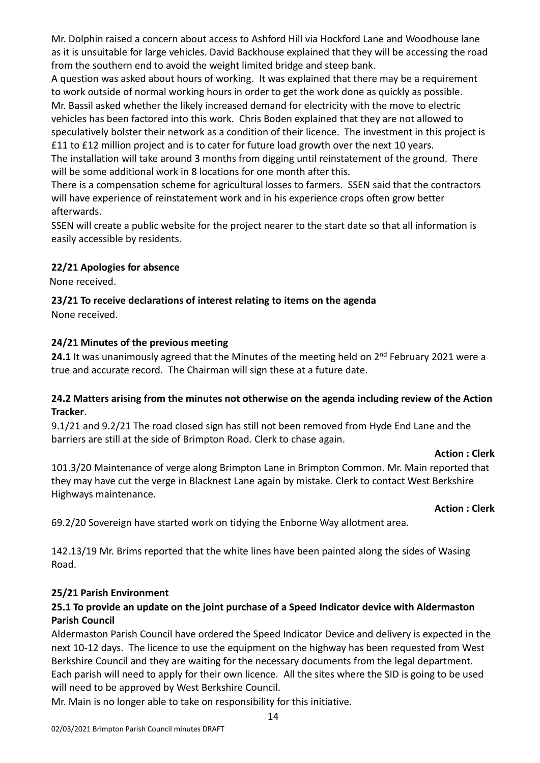Mr. Dolphin raised a concern about access to Ashford Hill via Hockford Lane and Woodhouse lane as it is unsuitable for large vehicles. David Backhouse explained that they will be accessing the road from the southern end to avoid the weight limited bridge and steep bank.

A question was asked about hours of working. It was explained that there may be a requirement to work outside of normal working hours in order to get the work done as quickly as possible. Mr. Bassil asked whether the likely increased demand for electricity with the move to electric vehicles has been factored into this work. Chris Boden explained that they are not allowed to speculatively bolster their network as a condition of their licence. The investment in this project is £11 to £12 million project and is to cater for future load growth over the next 10 years.

The installation will take around 3 months from digging until reinstatement of the ground. There will be some additional work in 8 locations for one month after this.

There is a compensation scheme for agricultural losses to farmers. SSEN said that the contractors will have experience of reinstatement work and in his experience crops often grow better afterwards.

SSEN will create a public website for the project nearer to the start date so that all information is easily accessible by residents.

## **22/21 Apologies for absence**

None received.

# **23/21 To receive declarations of interest relating to items on the agenda**

None received.

## **24/21 Minutes of the previous meeting**

24.1 It was unanimously agreed that the Minutes of the meeting held on 2<sup>nd</sup> February 2021 were a true and accurate record. The Chairman will sign these at a future date.

## **24.2 Matters arising from the minutes not otherwise on the agenda including review of the Action Tracker**.

9.1/21 and 9.2/21 The road closed sign has still not been removed from Hyde End Lane and the barriers are still at the side of Brimpton Road. Clerk to chase again.

#### **Action : Clerk**

101.3/20 Maintenance of verge along Brimpton Lane in Brimpton Common. Mr. Main reported that they may have cut the verge in Blacknest Lane again by mistake. Clerk to contact West Berkshire Highways maintenance.

#### **Action : Clerk**

69.2/20 Sovereign have started work on tidying the Enborne Way allotment area.

142.13/19 Mr. Brims reported that the white lines have been painted along the sides of Wasing Road.

## **25/21 Parish Environment**

# **25.1 To provide an update on the joint purchase of a Speed Indicator device with Aldermaston Parish Council**

Aldermaston Parish Council have ordered the Speed Indicator Device and delivery is expected in the next 10-12 days. The licence to use the equipment on the highway has been requested from West Berkshire Council and they are waiting for the necessary documents from the legal department. Each parish will need to apply for their own licence. All the sites where the SID is going to be used will need to be approved by West Berkshire Council.

Mr. Main is no longer able to take on responsibility for this initiative.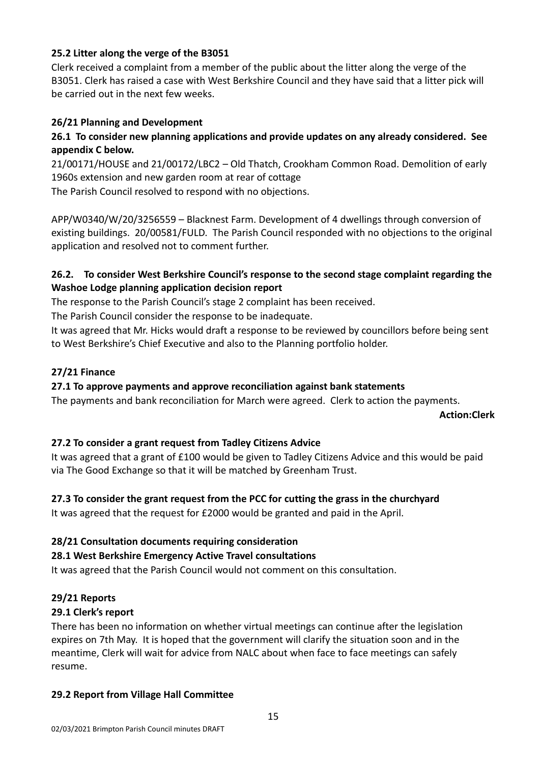## **25.2 Litter along the verge of the B3051**

Clerk received a complaint from a member of the public about the litter along the verge of the B3051. Clerk has raised a case with West Berkshire Council and they have said that a litter pick will be carried out in the next few weeks.

## **26/21 Planning and Development**

# **26.1 To consider new planning applications and provide updates on any already considered. See appendix C below.**

21/00171/HOUSE and 21/00172/LBC2 – Old Thatch, Crookham Common Road. Demolition of early 1960s extension and new garden room at rear of cottage

The Parish Council resolved to respond with no objections.

APP/W0340/W/20/3256559 – Blacknest Farm. Development of 4 dwellings through conversion of existing buildings. 20/00581/FULD. The Parish Council responded with no objections to the original application and resolved not to comment further.

## **26.2. To consider West Berkshire Council's response to the second stage complaint regarding the Washoe Lodge planning application decision report**

The response to the Parish Council's stage 2 complaint has been received.

The Parish Council consider the response to be inadequate.

It was agreed that Mr. Hicks would draft a response to be reviewed by councillors before being sent to West Berkshire's Chief Executive and also to the Planning portfolio holder.

## **27/21 Finance**

## **27.1 To approve payments and approve reconciliation against bank statements**

The payments and bank reconciliation for March were agreed. Clerk to action the payments.

#### **Action:Clerk**

## **27.2 To consider a grant request from Tadley Citizens Advice**

It was agreed that a grant of £100 would be given to Tadley Citizens Advice and this would be paid via The Good Exchange so that it will be matched by Greenham Trust.

## **27.3 To consider the grant request from the PCC for cutting the grass in the churchyard**

It was agreed that the request for £2000 would be granted and paid in the April.

## **28/21 Consultation documents requiring consideration**

## **28.1 West Berkshire Emergency Active Travel consultations**

It was agreed that the Parish Council would not comment on this consultation.

#### **29/21 Reports**

## **29.1 Clerk's report**

There has been no information on whether virtual meetings can continue after the legislation expires on 7th May. It is hoped that the government will clarify the situation soon and in the meantime, Clerk will wait for advice from NALC about when face to face meetings can safely resume.

## **29.2 Report from Village Hall Committee**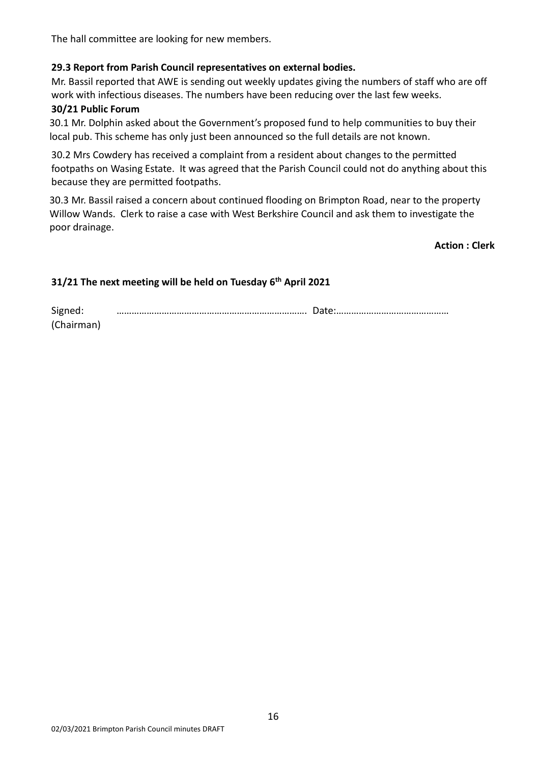The hall committee are looking for new members.

#### **29.3 Report from Parish Council representatives on external bodies.**

Mr. Bassil reported that AWE is sending out weekly updates giving the numbers of staff who are off work with infectious diseases. The numbers have been reducing over the last few weeks.

#### **30/21 Public Forum**

30.1 Mr. Dolphin asked about the Government's proposed fund to help communities to buy their local pub. This scheme has only just been announced so the full details are not known.

30.2 Mrs Cowdery has received a complaint from a resident about changes to the permitted footpaths on Wasing Estate. It was agreed that the Parish Council could not do anything about this because they are permitted footpaths.

30.3 Mr. Bassil raised a concern about continued flooding on Brimpton Road, near to the property Willow Wands. Clerk to raise a case with West Berkshire Council and ask them to investigate the poor drainage.

**Action : Clerk** 

#### **31/21 The next meeting will be held on Tuesday 6 th April 2021**

| Signed:    |  |
|------------|--|
| (Chairman) |  |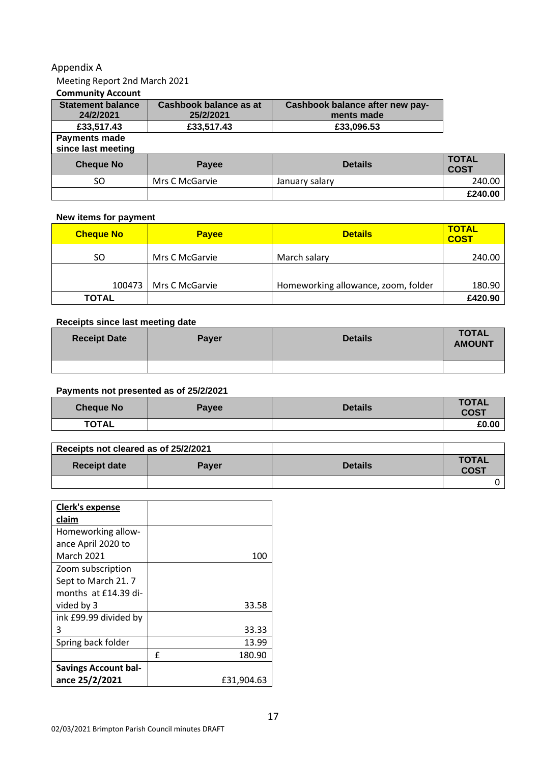#### Appendix A

## Meeting Report 2nd March 2021

#### **Community Account**

| <b>Statement balance</b><br>24/2/2021 | Cashbook balance as at<br>25/2/2021 | Cashbook balance after new pay-<br>ments made |                             |
|---------------------------------------|-------------------------------------|-----------------------------------------------|-----------------------------|
| £33,517.43                            | £33,517.43<br>£33,096.53            |                                               |                             |
| Payments made<br>since last meeting   |                                     |                                               |                             |
| <b>Cheque No</b>                      | Payee                               | <b>Details</b>                                | <b>TOTAL</b><br><b>COST</b> |
| SO.                                   | Mrs C McGarvie                      | January salary                                | 240.00                      |
|                                       |                                     |                                               | £240.00                     |

#### **New items for payment**

| <b>Cheque No</b> | <b>Payee</b>   | <b>Details</b>                      | <b>TOTAL</b><br><b>COST</b> |
|------------------|----------------|-------------------------------------|-----------------------------|
| SO               | Mrs C McGarvie | March salary                        | 240.00                      |
|                  |                |                                     |                             |
| 100473           | Mrs C McGarvie | Homeworking allowance, zoom, folder | 180.90                      |
| <b>TOTAL</b>     |                |                                     | £420.90                     |

#### **Receipts since last meeting date**

| <b>Receipt Date</b> | <b>Payer</b> | <b>Details</b> | <b>TOTAL</b><br><b>AMOUNT</b> |
|---------------------|--------------|----------------|-------------------------------|
|                     |              |                |                               |

#### **Payments not presented as of 25/2/2021**

| <b>Cheque No</b> | <b>Payee</b> | <b>Details</b> | <b>TOTAL</b><br><b>COST</b> |
|------------------|--------------|----------------|-----------------------------|
| <b>TOTAL</b>     |              |                | £0.00                       |

| Receipts not cleared as of 25/2/2021 |              |                |                             |
|--------------------------------------|--------------|----------------|-----------------------------|
| <b>Receipt date</b>                  | <b>Paver</b> | <b>Details</b> | <b>TOTAL</b><br><b>COST</b> |
|                                      |              |                |                             |

| Clerk's expense             |             |
|-----------------------------|-------------|
| claim                       |             |
| Homeworking allow-          |             |
| ance April 2020 to          |             |
| <b>March 2021</b>           | 100         |
| Zoom subscription           |             |
| Sept to March 21.7          |             |
| months at $f14.39$ di-      |             |
| vided by 3                  | 33.58       |
| ink £99.99 divided by       |             |
| 3                           | 33.33       |
| Spring back folder          | 13.99       |
|                             | £<br>180.90 |
| <b>Savings Account bal-</b> |             |
| ance 25/2/2021              | £31,904.63  |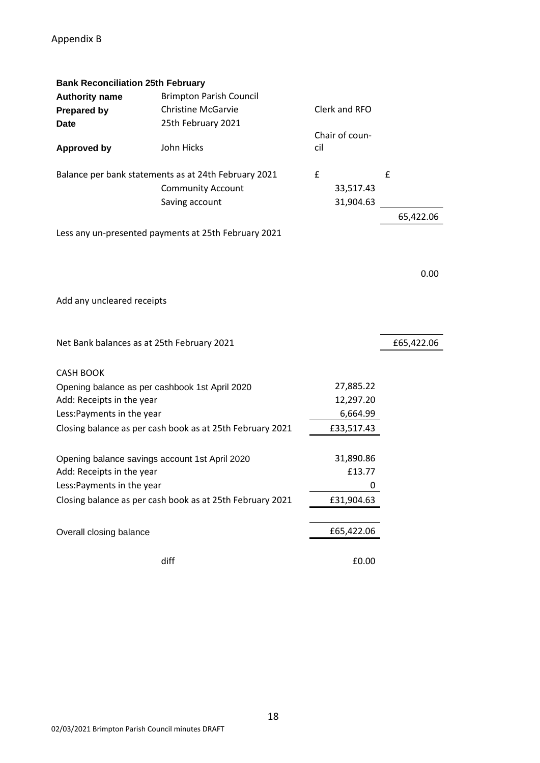| <b>Bank Reconciliation 25th February</b>       |                                                           |     |                |            |
|------------------------------------------------|-----------------------------------------------------------|-----|----------------|------------|
| <b>Authority name</b>                          | <b>Brimpton Parish Council</b>                            |     |                |            |
| <b>Prepared by</b>                             | <b>Christine McGarvie</b>                                 |     | Clerk and RFO  |            |
| <b>Date</b>                                    | 25th February 2021                                        |     |                |            |
|                                                |                                                           |     | Chair of coun- |            |
| <b>Approved by</b>                             | John Hicks                                                | cil |                |            |
|                                                |                                                           |     |                |            |
|                                                | Balance per bank statements as at 24th February 2021      | £   |                | £          |
|                                                | <b>Community Account</b>                                  |     | 33,517.43      |            |
|                                                | Saving account                                            |     | 31,904.63      |            |
|                                                |                                                           |     |                | 65,422.06  |
|                                                | Less any un-presented payments at 25th February 2021      |     |                |            |
|                                                |                                                           |     |                |            |
|                                                |                                                           |     |                |            |
|                                                |                                                           |     |                | 0.00       |
|                                                |                                                           |     |                |            |
| Add any uncleared receipts                     |                                                           |     |                |            |
|                                                |                                                           |     |                |            |
|                                                |                                                           |     |                |            |
| Net Bank balances as at 25th February 2021     |                                                           |     |                | £65,422.06 |
|                                                |                                                           |     |                |            |
| <b>CASH BOOK</b>                               |                                                           |     |                |            |
| Opening balance as per cashbook 1st April 2020 |                                                           |     | 27,885.22      |            |
| Add: Receipts in the year                      |                                                           |     | 12,297.20      |            |
| Less: Payments in the year                     |                                                           |     | 6,664.99       |            |
|                                                | Closing balance as per cash book as at 25th February 2021 |     | £33,517.43     |            |
|                                                |                                                           |     |                |            |
|                                                |                                                           |     |                |            |
| Opening balance savings account 1st April 2020 |                                                           |     | 31,890.86      |            |
| Add: Receipts in the year                      |                                                           |     | £13.77         |            |
| Less: Payments in the year                     |                                                           |     | 0              |            |
|                                                | Closing balance as per cash book as at 25th February 2021 |     | £31,904.63     |            |
|                                                |                                                           |     |                |            |
| Overall closing balance                        |                                                           |     | £65,422.06     |            |
|                                                |                                                           |     |                |            |
|                                                | diff                                                      |     | £0.00          |            |